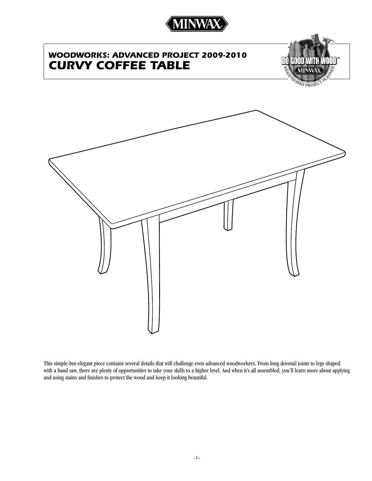

# *WOODWORKS: Advanced project 2009-2010 Curvy Coffee Table*



KS PRO



This simple-but-elegant piece contains several details that will challenge even advanced woodworkers. From long dovetail joints to legs shaped with a band saw, there are plenty of opportunities to take your skills to a higher level. And when it's all assembled, you'll learn more about applying and using stains and finishes to protect the wood and keep it looking beautiful.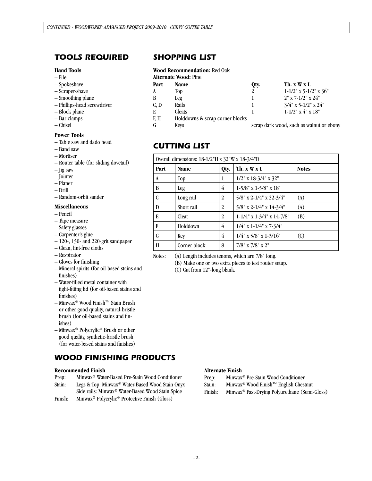## *tools required*

## **Hand Tools**

- File
- Spokeshave
- Scraper-shave
- Smoothing plane
- Phillips-head screwdriver
- Block plane
- Bar clamps
- Chisel

## **Power Tools**

- Table saw and dado head
- Band saw
- Mortiser
- Router table (for sliding dovetail)
- Jig saw
- Jointer
- Planer
- Drill
- Random-orbit sander

### **Miscellaneous**

- Pencil
- Tape measure
- Safety glasses
- Carpenter's glue
- 120-, 150- and 220-grit sandpaper
- Clean, lint-free cloths
- Respirator
- Gloves for finishing
- Mineral spirits (for oil-based stains and finishes)
- Water-filled metal container with tight-fitting lid (for oil-based stains and finishes)
- Minwax® Wood Finish™ Stain Brush or other good quality, natural-bristle brush (for oil-based stains and finishes)
- Minwax® Polycrylic® Brush or other good quality, synthetic-bristle brush (for water-based stains and finishes)

## *WOOD FINISHING PRODUCTS*

## **Recommended Finish**

- Prep: Minwax® Water-Based Pre-Stain Wood Conditioner
- Stain: Legs & Top: Minwax® Water-Based Wood Stain Onyx Side rails: Minwax® Water-Based Wood Stain Spice
- Finish: Minwax® Polycrylic® Protective Finish (Gloss)

## *SHOPPING LIST*

### **Wood Recommendation:** Red Oak

| Part | Name                            | Otv. | Th. $x \mathbf{W} x L$   |
|------|---------------------------------|------|--------------------------|
| A    | Top                             | 2    | $1-1/2$ " x 5-1/2" x 36" |
| B    | Leg                             |      | $2"$ x 7-1/2" x 24"      |
| C, D | Rails                           |      | $3/4$ " x 5-1/2" x 24"   |
| E    | Cleats                          |      | $1-1/2$ " x 4" x 18"     |
| F.H  | Holddowns & scrap corner blocks |      |                          |

G Keys Scrap dark wood, such as walnut or ebony

## *cutting list*

| Overall dimensions: $18-1/2$ "H x $32$ "W x $18-3/4$ "D |              |      |                                          |                    |  |
|---------------------------------------------------------|--------------|------|------------------------------------------|--------------------|--|
| Part                                                    | <b>Name</b>  | Qty. | Th. x W x L<br><b>Notes</b>              |                    |  |
| A                                                       | Top          | 1    | $1/2$ " x $18-3/4$ " x $32$ "            |                    |  |
| B                                                       | Leg          | 4    | $1-5/8$ " x $1-5/8$ " x $18$ "           |                    |  |
| C                                                       | Long rail    | 2    | 5/8" x 2-1/4" x 22-3/4"                  | (A)                |  |
| D                                                       | Short rail   | 2    | 5/8" x 2-1/4" x 14-3/4"                  | (A)                |  |
| E                                                       | Cleat        | 2    | $1 - 1/4$ " x $1 - 3/4$ " x $14 - 7/8$ " | (B)                |  |
| F                                                       | Holddown     | 4    | $1/4$ " x 1-1/4" x 7-3/4"                |                    |  |
| G                                                       | Key          | 4    | $1/4$ " x $5/8$ " x $1-3/16$ "           | $\left( 0 \right)$ |  |
| H                                                       | Corner block | 8    | 7/8" x 7/8" x 2"                         |                    |  |

Notes: (A) Length includes tenons, which are 7/8" long.

(B) Make one or two extra pieces to test router setup.

(C) Cut from 12"-long blank.

#### **Alternate Finish**

- Prep: Minwax® Pre-Stain Wood Conditioner
- Stain: Minwax® Wood Finish™ English Chestnut
- Finish: Minwax® Fast-Drying Polyurethane (Semi-Gloss)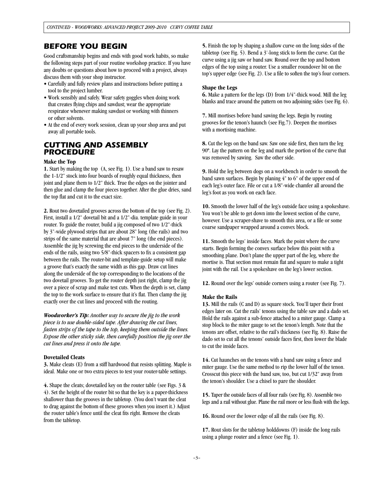## *Before you begin*

Good craftsmanship begins and ends with good work habits, so make the following steps part of your routine workshop practice. If you have any doubts or questions about how to proceed with a project, always discuss them with your shop instructor.

- Carefully and fully review plans and instructions before putting a tool to the project lumber.
- Work sensibly and safely. Wear safety goggles when doing work that creates flying chips and sawdust; wear the appropriate respirator whenever making sawdust or working with thinners or other solvents.
- At the end of every work session, clean up your shop area and put away all portable tools.

## *CUTTING AND ASSEMBLY PROCEDURE*

## **Make the Top**

**1.** Start by making the top (A, see Fig. 1). Use a band saw to resaw the 1-1/2" stock into four boards of roughly equal thickness, then joint and plane them to 1/2" thick. True the edges on the jointer and then glue and clamp the four pieces together. After the glue dries, sand the top flat and cut it to the exact size.

**2.** Rout two dovetailed grooves across the bottom of the top (see Fig. 2). First, install a 1/2" dovetail bit and a 1/2"-dia. template guide in your router. To guide the router, build a jig composed of two 1/2"-thick by 3"-wide plywood strips that are about 28" long (the rails) and two strips of the same material that are about 7" long (the end pieces). Assemble the jig by screwing the end pieces to the underside of the ends of the rails, using two 5/8"-thick spacers to fix a consistent gap between the rails. The router-bit and template-guide setup will make a groove that's exactly the same width as this gap. Draw cut lines along the underside of the top corresponding to the locations of the two dovetail grooves. To get the router depth just right, clamp the jig over a piece of scrap and make test cuts. When the depth is set, clamp the top to the work surface to ensure that it's flat. Then clamp the jig exactly over the cut lines and proceed with the routing.

*Woodworker's Tip: Another way to secure the jig to the work piece is to use double-sided tape. After drawing the cut lines, fasten strips of the tape to the top, keeping them outside the lines. Expose the other sticky side, then carefully position the jig over the cut lines and press it onto the tape.*

## **Dovetailed Cleats**

**3.** Make cleats (E) from a stiff hardwood that resists splitting. Maple is ideal. Make one or two extra pieces to test your router-table settings.

**4.** Shape the cleats; dovetailed key on the router table (see Figs. 3 & 4). Set the height of the router bit so that the key is a paper-thickness shallower than the grooves in the tabletop. (You don't want the cleat to drag against the bottom of these grooves when you insert it.) Adjust the router table's fence until the cleat fits right. Remove the cleats from the tabletop.

**5.** Finish the top by shaping a shallow curve on the long sides of the tabletop (see Fig. 5). Bend a 3'-long stick to form the curve. Cut the curve using a jig saw or band saw. Round over the top and bottom edges of the top using a router. Use a smaller roundover bit on the top's upper edge (see Fig. 2). Use a file to soften the top's four corners.

## **Shape the Legs**

**6.** Make a pattern for the legs (D) from 1/4"-thick wood. Mill the leg blanks and trace around the pattern on two adjoining sides (see Fig. 6).

**7.** Mill mortises before band sawing the legs. Begin by routing grooves for the tenon's haunch (see Fig.7). Deepen the mortises with a mortising machine.

**8.** Cut the legs on the band saw. Saw one side first, then turn the leg 90º. Lay the pattern on the leg and mark the portion of the curve that was removed by sawing. Saw the other side.

**9.** Hold the leg between dogs on a workbench in order to smooth the band sawn surfaces. Begin by planing 4" to 6" of the upper end of each leg's outer face. File or cut a 1/8"-wide chamfer all around the leg's foot as you work on each face.

**10.** Smooth the lower half of the leg's outside face using a spokeshave. You won't be able to get down into the lowest section of the curve, however. Use a scraper-shave to smooth this area, or a file or some coarse sandpaper wrapped around a convex block.

**11.** Smooth the legs' inside faces. Mark the point where the curve starts. Begin forming the convex surface below this point with a smoothing plane. Don't plane the upper part of the leg, where the mortise is. That section must remain flat and square to make a tight joint with the rail. Use a spokeshave on the leg's lower section.

**12.** Round over the legs' outside corners using a router (see Fig. 7).

### **Make the Rails**

**13.** Mill the rails (C and D) as square stock. You'll taper their front edges later on. Cut the rails' tenons using the table saw and a dado set. Hold the rails against a sub-fence attached to a miter gauge. Clamp a stop block to the miter gauge to set the tenon's length. Note that the tenons are offset, relative to the rail's thickness (see Fig. 8). Raise the dado set to cut all the tenons' outside faces first, then lower the blade to cut the inside faces.

**14.** Cut haunches on the tenons with a band saw using a fence and miter gauge. Use the same method to rip the lower half of the tenon. Crosscut this piece with the band saw, too, but cut 1/32" away from the tenon's shoulder. Use a chisel to pare the shoulder.

**15.** Taper the outside faces of all four rails (see Fig. 8). Assemble two legs and a rail without glue. Plane the rail more or less flush with the legs.

**16.** Round over the lower edge of all the rails (see Fig. 8).

**17.** Rout slots for the tabletop holddowns (F) inside the long rails using a plunge router and a fence (see Fig. 1).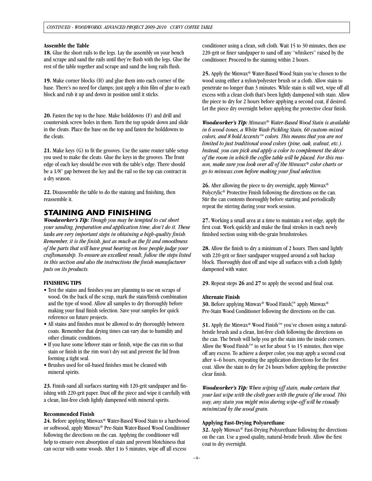#### **Assemble the Table**

**18.** Glue the short rails to the legs. Lay the assembly on your bench and scrape and sand the rails until they're flush with the legs. Glue the rest of the table together and scrape and sand the long rails flush.

**19.** Make corner blocks (H) and glue them into each corner of the base. There's no need for clamps; just apply a thin film of glue to each block and rub it up and down in position until it sticks.

**20.** Fasten the top to the base. Make holddowns (F) and drill and countersink screw holes in them. Turn the top upside down and slide in the cleats. Place the base on the top and fasten the holddowns to the cleats.

**21.** Make keys (G) to fit the grooves. Use the same router table setup you used to make the cleats. Glue the keys in the grooves. The front edge of each key should be even with the table's edge. There should be a 1/8" gap between the key and the rail so the top can contract in a dry season.

**22.** Disassemble the table to do the staining and finishing, then reassemble it.

## *STAINING AND FINISHING*

*Woodworker's Tip: Though you may be tempted to cut short your sanding, preparation and application time, don't do it. These tasks are very important steps in obtaining a high-quality finish. Remember, it is the finish, just as much as the fit and smoothness of the parts that will have great bearing on how people judge your craftsmanship. To ensure an excellent result, follow the steps listed in this section and also the instructions the finish manufacturer puts on its products.*

#### **FINISHING TIPS**

- Test the stains and finishes you are planning to use on scraps of wood. On the back of the scrap, mark the stain/finish combination and the type of wood. Allow all samples to dry thoroughly before making your final finish selection. Save your samples for quick reference on future projects.
- All stains and finishes must be allowed to dry thoroughly between coats. Remember that drying times can vary due to humidity and other climatic conditions.
- If you have some leftover stain or finish, wipe the can rim so that stain or finish in the rim won't dry out and prevent the lid from forming a tight seal.
- Brushes used for oil-based finishes must be cleaned with mineral spirits.

**23.** Finish-sand all surfaces starting with 120-grit sandpaper and finishing with 220-grit paper. Dust off the piece and wipe it carefully with a clean, lint-free cloth lightly dampened with mineral spirits.

## **Recommended Finish**

**24.** Before applying Minwax® Water-Based Wood Stain to a hardwood or softwood, apply Minwax® Pre-Stain Water-Based Wood Conditioner following the directions on the can. Applying the conditioner will help to ensure even absorption of stain and prevent blotchiness that can occur with some woods. After 1 to 5 minutes, wipe off all excess

conditioner using a clean, soft cloth. Wait 15 to 30 minutes, then use 220-grit or finer sandpaper to sand off any "whiskers" raised by the conditioner. Proceed to the staining within 2 hours.

**25.** Apply the Minwax® Water-Based Wood Stain you've chosen to the wood using either a nylon/polyester brush or a cloth. Allow stain to penetrate no longer than 3 minutes. While stain is still wet, wipe off all excess with a clean cloth that's been lightly dampened with stain. Allow the piece to dry for 2 hours before applying a second coat, if desired. Let the piece dry overnight before applying the protective clear finish.

*Woodworker's Tip: Minwax® Water-Based Wood Stain is available in 6 wood-tones, a White Wash Pickling Stain, 60 custom-mixed colors, and 8 bold Accents™ colors. This means that you are not limited to just traditional wood colors (pine, oak, walnut, etc.). Instead, you can pick and apply a color to complement the décor of the room in which the coffee table will be placed. For this reason, make sure you look over all of the Minwax® color charts or go to minwax.com before making your final selection.*

**26.** After allowing the piece to dry overnight, apply Minwax® Polycrylic® Protective Finish following the directions on the can. Stir the can contents thoroughly before starting and periodically repeat the stirring during your work session.

**27.** Working a small area at a time to maintain a wet edge, apply the first coat. Work quickly and make the final strokes in each newly finished section using with-the-grain brushstrokes.

**28.** Allow the finish to dry a minimum of 2 hours. Then sand lightly with 220-grit or finer sandpaper wrapped around a soft backup block. Thoroughly dust off and wipe all surfaces with a cloth lightly dampened with water.

**29.** Repeat steps **26** and **27** to apply the second and final coat.

### **Alternate Finish**

30. Before applying Minwax<sup>®</sup> Wood Finish<sup>™</sup> apply Minwax<sup>®</sup> Pre-Stain Wood Conditioner following the directions on the can.

**31.** Apply the Minwax<sup>®</sup> Wood Finish™ you've chosen using a naturalbristle brush and a clean, lint-free cloth following the directions on the can. The brush will help you get the stain into the inside corners. Allow the Wood Finish™ to set for about 5 to 15 minutes, then wipe off any excess. To achieve a deeper color, you may apply a second coat after 4–6 hours, repeating the application directions for the first coat. Allow the stain to dry for 24 hours before applying the protective clear finish.

*Woodworker's Tip: When wiping off stain, make certain that your last wipe with the cloth goes with the grain of the wood. This way, any stain you might miss during wipe-off will be visually minimized by the wood grain.*

#### **Applying Fast-Drying Polyurethane**

**32.** Apply Minwax® Fast-Drying Polyurethane following the directions on the can. Use a good quality, natural-bristle brush. Allow the first coat to dry overnight.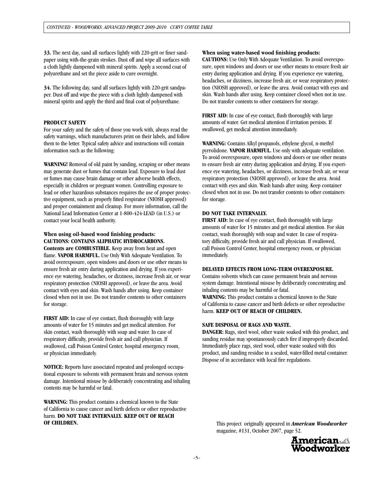**33.** The next day, sand all surfaces lightly with 220-grit or finer sandpaper using with-the-grain strokes. Dust off and wipe all surfaces with a cloth lightly dampened with mineral spirits. Apply a second coat of polyurethane and set the piece aside to cure overnight.

**34.** The following day, sand all surfaces lightly with 220-grit sandpaper. Dust off and wipe the piece with a cloth lightly dampened with mineral spirits and apply the third and final coat of polyurethane.

## **PRODUCT SAFETY**

For your safety and the safety of those you work with, always read the safety warnings, which manufacturers print on their labels, and follow them to the letter. Typical safety advice and instructions will contain information such as the following:

**WARNING!** Removal of old paint by sanding, scraping or other means may generate dust or fumes that contain lead. Exposure to lead dust or fumes may cause brain damage or other adverse health effects, especially in children or pregnant women. Controlling exposure to lead or other hazardous substances requires the use of proper protective equipment, such as properly fitted respirator (NIOSH approved) and proper containment and cleanup. For more information, call the National Lead Information Center at 1-800-424-LEAD (in U.S.) or contact your local health authority.

## **When using oil-based wood finishing products: CAUTIONS: CONTAINS ALIPHATIC HYDROCARBONS.**

**Contents are COMBUSTIBLE.** Keep away from heat and open flame. **VAPOR HARMFUL.** Use Only With Adequate Ventilation. To avoid overexposure, open windows and doors or use other means to ensure fresh air entry during application and drying. If you experience eye watering, headaches, or dizziness, increase fresh air, or wear respiratory protection (NIOSH approved), or leave the area. Avoid contact with eyes and skin. Wash hands after using. Keep container closed when not in use. Do not transfer contents to other containers for storage.

**FIRST AID:** In case of eye contact, flush thoroughly with large amounts of water for 15 minutes and get medical attention. For skin contact, wash thoroughly with soap and water. In case of respiratory difficulty, provide fresh air and call physician. If swallowed, call Poison Control Center, hospital emergency room, or physician immediately.

**NOTICE:** Reports have associated repeated and prolonged occupational exposure to solvents with permanent brain and nervous system damage. Intentional misuse by deliberately concentrating and inhaling contents may be harmful or fatal.

**WARNING:** This product contains a chemical known to the State of California to cause cancer and birth defects or other reproductive harm. **DO NOT TAKE INTERNALLY. KEEP OUT OF REACH OF CHILDREN.**

## **When using water-based wood finishing products:**

**CAUTIONS:** Use Only With Adequate Ventilation. To avoid overexposure, open windows and doors or use other means to ensure fresh air entry during application and drying. If you experience eye watering, headaches, or dizziness, increase fresh air, or wear respiratory protection (NIOSH approved), or leave the area. Avoid contact with eyes and skin. Wash hands after using. Keep container closed when not in use. Do not transfer contents to other containers for storage.

**FIRST AID:** In case of eye contact, flush thoroughly with large amounts of water. Get medical attention if irritation persists. If swallowed, get medical attention immediately.

**WARNING:** Contains Alkyl propanols, ethylene glycol, n-methyl pyrrolidone. **VAPOR HARMFUL.** Use only with adequate ventilation. To avoid overexposure, open windows and doors or use other means to ensure fresh air entry during application and drying. If you experience eye watering, headaches, or dizziness, increase fresh air, or wear respiratory protection (NIOSH approved), or leave the area. Avoid contact with eyes and skin. Wash hands after using. Keep container closed when not in use. Do not transfer contents to other containers for storage.

## **DO NOT TAKE INTERNALLY.**

**FIRST AID:** In case of eye contact, flush thoroughly with large amounts of water for 15 minutes and get medical attention. For skin contact, wash thoroughly with soap and water. In case of respiratory difficulty, provide fresh air and call physician. If swallowed, call Poison Control Center, hospital emergency room, or physician immediately.

### **DELAYED EFFECTS FROM LONG-TERM OVEREXPOSURE.**

Contains solvents which can cause permanent brain and nervous system damage. Intentional misuse by deliberately concentrating and inhaling contents may be harmful or fatal.

**WARNING:** This product contains a chemical known to the State of California to cause cancer and birth defects or other reproductive harm. **KEEP OUT OF REACH OF CHILDREN.**

## **SAFE DISPOSAL OF RAGS AND WASTE.**

**DANGER:** Rags, steel wool, other waste soaked with this product, and sanding residue may spontaneously catch fire if improperly discarded. Immediately place rags, steel wool, other waste soaked with this product, and sanding residue in a sealed, water-filled metal container. Dispose of in accordance with local fire regulations.

This project originally appeared in *American Woodworker*  magazine, #131, October 2007, page 52.

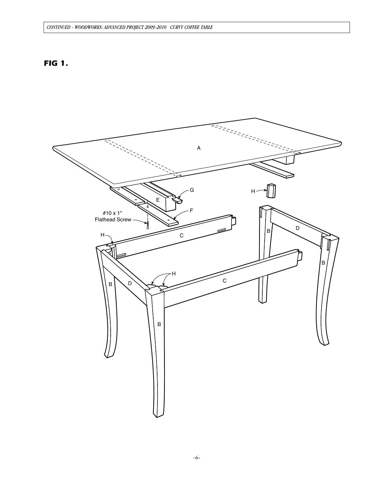## *CONTINUED - WOODWORKS: Advanced project 2009-2010 Curvy Coffee Table*

# *FIG 1.*

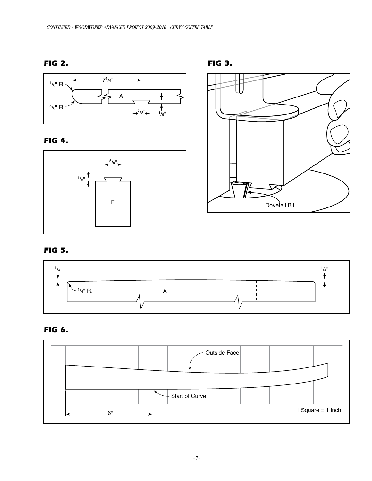# *FIG 2.*



## *FIG 4.*





# *FIG 5.*



# *FIG 6.*



*FIG 3.*